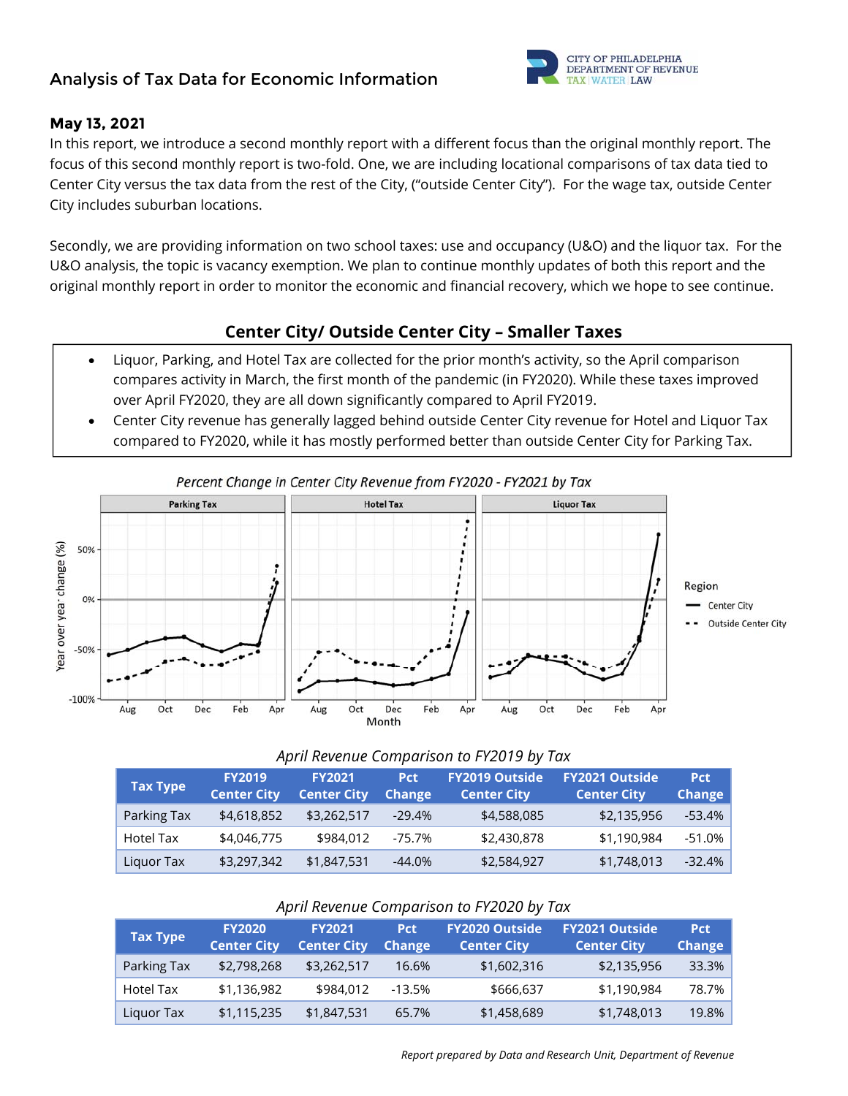# **Analysis of Tax Data for Economic Information**



#### **May 13, 2021**

In this report, we introduce a second monthly report with a different focus than the original monthly report. The focus of this second monthly report is two-fold. One, we are including locational comparisons of tax data tied to Center City versus the tax data from the rest of the City, ("outside Center City"). For the wage tax, outside Center City includes suburban locations.

Secondly, we are providing information on two school taxes: use and occupancy (U&O) and the liquor tax. For the U&O analysis, the topic is vacancy exemption. We plan to continue monthly updates of both this report and the original monthly report in order to monitor the economic and financial recovery, which we hope to see continue.

### **Center City/ Outside Center City – Smaller Taxes**

- Liquor, Parking, and Hotel Tax are collected for the prior month's activity, so the April comparison compares activity in March, the first month of the pandemic (in FY2020). While these taxes improved over April FY2020, they are all down significantly compared to April FY2019.
- Center City revenue has generally lagged behind outside Center City revenue for Hotel and Liquor Tax compared to FY2020, while it has mostly performed better than outside Center City for Parking Tax.



#### *April Revenue Comparison to FY2019 by Tax*

| <b>Tax Type</b> | <b>FY2019</b><br><b>Center City</b> | <b>FY2021</b><br><b>Center City</b> | <b>Pct</b><br>Change | FY2019 Outside<br><b>Center City</b> | <b>FY2021 Outside</b><br><b>Center City</b> | <b>Pct</b><br><b>Change</b> |
|-----------------|-------------------------------------|-------------------------------------|----------------------|--------------------------------------|---------------------------------------------|-----------------------------|
| Parking Tax     | \$4,618,852                         | \$3,262,517                         | $-29.4%$             | \$4,588,085                          | \$2,135,956                                 | $-53.4%$                    |
| Hotel Tax       | \$4,046,775                         | \$984,012                           | -75.7%               | \$2,430,878                          | \$1,190,984                                 | $-51.0\%$                   |
| Liquor Tax      | \$3,297,342                         | \$1,847,531                         | $-44.0%$             | \$2,584,927                          | \$1,748,013                                 | $-32.4%$                    |

#### *April Revenue Comparison to FY2020 by Tax*

| <b>Tax Type</b> | <b>FY2020</b><br><b>Center City</b> | <b>FY2021</b><br><b>Center City</b> | <b>Pct</b><br><b>Change</b> | <b>FY2020 Outside</b><br><b>Center City</b> | <b>FY2021 Outside</b><br><b>Center City</b> | <b>Pct</b><br><b>Change</b> |
|-----------------|-------------------------------------|-------------------------------------|-----------------------------|---------------------------------------------|---------------------------------------------|-----------------------------|
| Parking Tax     | \$2,798,268                         | \$3,262,517                         | 16.6%                       | \$1,602,316                                 | \$2,135,956                                 | 33.3%                       |
| Hotel Tax       | \$1,136,982                         | \$984,012                           | -13.5%                      | \$666,637                                   | \$1,190,984                                 | 78.7%                       |
| Liquor Tax      | \$1,115,235                         | \$1,847,531                         | 65.7%                       | \$1,458,689                                 | \$1,748,013                                 | 19.8%                       |

 *Report prepared by Data and Research Unit, Department of Revenue*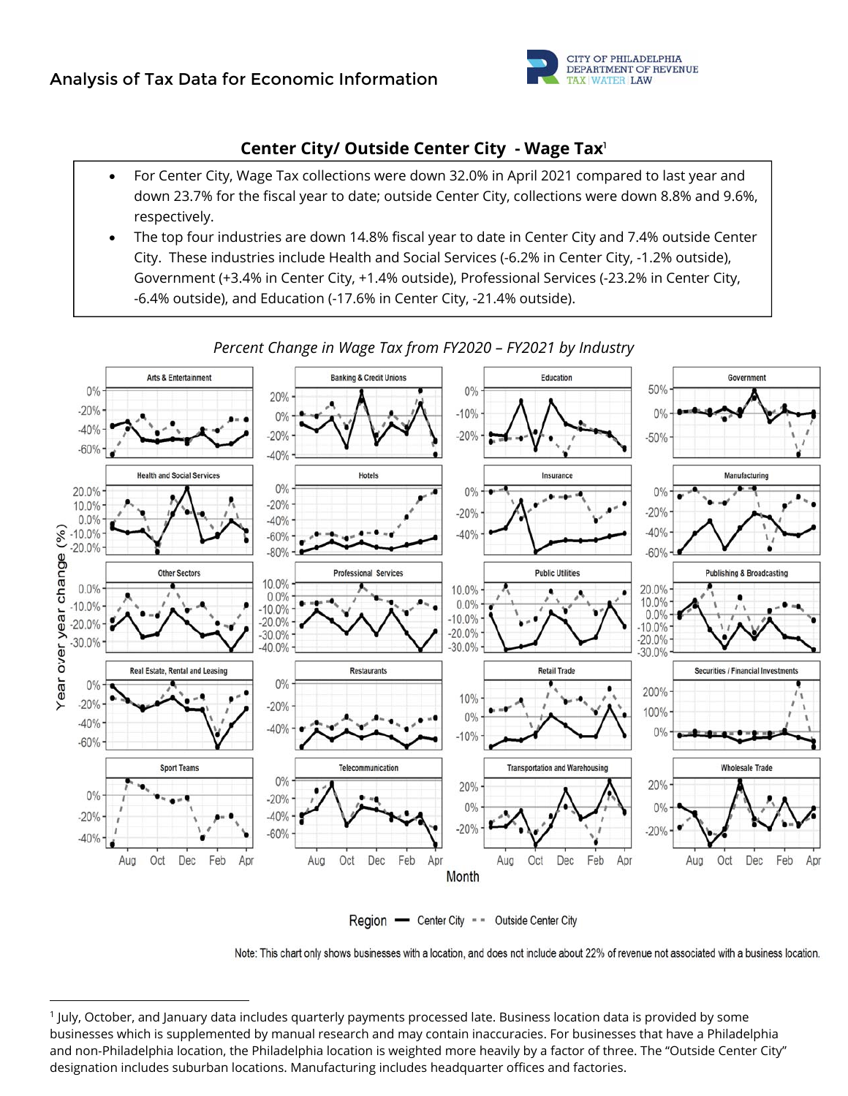

### **Center City/ Outside Center City - Wage Tax**<sup>1</sup>

- For Center City, Wage Tax collections were down 32.0% in April 2021 compared to last year and down 23.7% for the fiscal year to date; outside Center City, collections were down 8.8% and 9.6%, respectively.
- The top four industries are down 14.8% fiscal year to date in Center City and 7.4% outside Center City. These industries include Health and Social Services (-6.2% in Center City, -1.2% outside), Government (+3.4% in Center City, +1.4% outside), Professional Services (-23.2% in Center City, -6.4% outside), and Education (-17.6% in Center City, -21.4% outside).



*Percent Change in Wage Tax from FY2020 – FY2021 by Industry* 

Region - Center City - - Outside Center City

Note: This chart only shows businesses with a location, and does not include about 22% of revenue not associated with a business location.

<sup>1</sup> July, October, and January data includes quarterly payments processed late. Business location data is provided by some businesses which is supplemented by manual research and may contain inaccuracies. For businesses that have a Philadelphia and non‐Philadelphia location, the Philadelphia location is weighted more heavily by a factor of three. The "Outside Center City" designation includes suburban locations. Manufacturing includes headquarter offices and factories.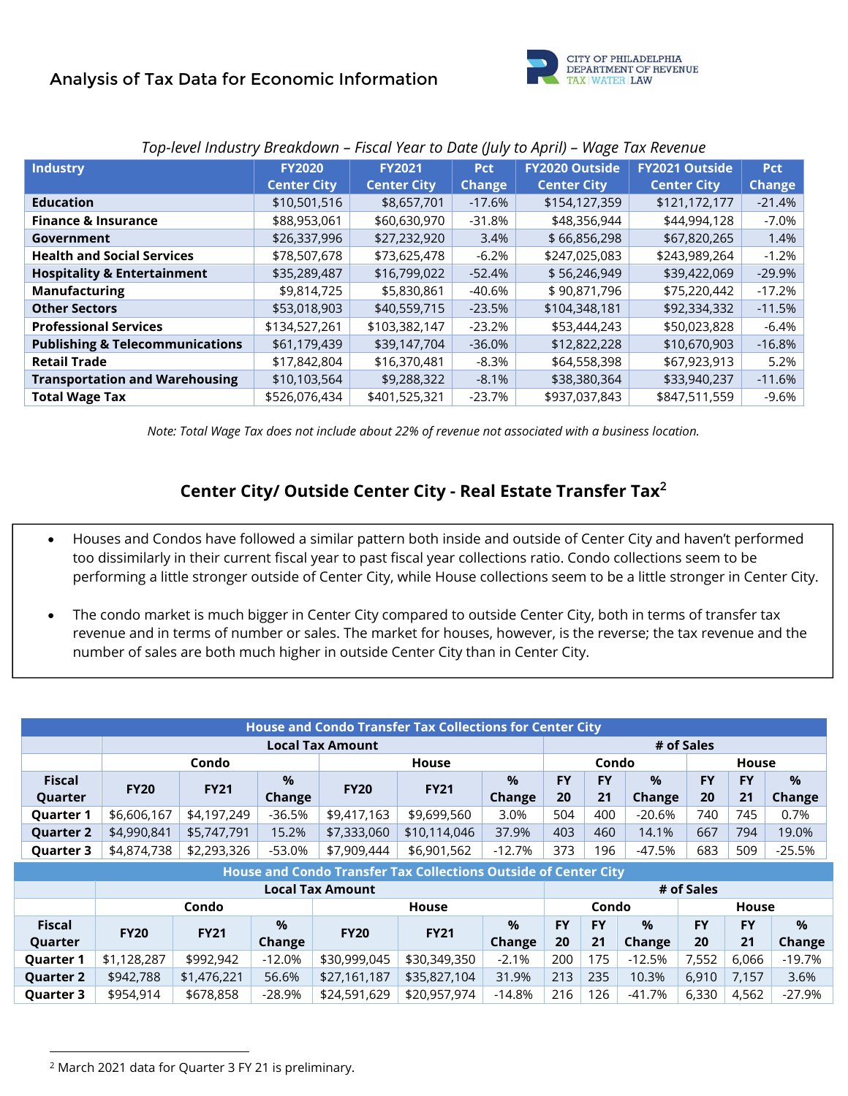

| <b>Industry</b>                            | <b>FY2020</b>      | <b>FY2021</b>      | <b>Pct</b>    | <b>FY2020 Outside</b> | <b>FY2021 Outside</b> | <b>Pct</b>    |
|--------------------------------------------|--------------------|--------------------|---------------|-----------------------|-----------------------|---------------|
|                                            | <b>Center City</b> | <b>Center City</b> | <b>Change</b> | <b>Center City</b>    | <b>Center City</b>    | <b>Change</b> |
| <b>Education</b>                           | \$10,501,516       | \$8,657,701        | $-17.6%$      | \$154,127,359         | \$121,172,177         | $-21.4%$      |
| <b>Finance &amp; Insurance</b>             | \$88,953,061       | \$60,630,970       | $-31.8%$      | \$48,356,944          | \$44,994,128          | $-7.0\%$      |
| Government                                 | \$26,337,996       | \$27,232,920       | 3.4%          | \$66,856,298          | \$67,820,265          | 1.4%          |
| <b>Health and Social Services</b>          | \$78,507,678       | \$73,625,478       | $-6.2%$       | \$247,025,083         | \$243,989,264         | $-1.2%$       |
| <b>Hospitality &amp; Entertainment</b>     | \$35,289,487       | \$16,799,022       | $-52.4%$      | \$56,246,949          | \$39,422,069          | $-29.9%$      |
| <b>Manufacturing</b>                       | \$9,814,725        | \$5,830,861        | -40.6%        | \$90,871,796          | \$75,220,442          | $-17.2%$      |
| <b>Other Sectors</b>                       | \$53,018,903       | \$40,559,715       | $-23.5%$      | \$104,348,181         | \$92,334,332          | $-11.5%$      |
| <b>Professional Services</b>               | \$134,527,261      | \$103,382,147      | $-23.2%$      | \$53,444,243          | \$50,023,828          | $-6.4%$       |
| <b>Publishing &amp; Telecommunications</b> | \$61,179,439       | \$39,147,704       | $-36.0%$      | \$12,822,228          | \$10,670,903          | $-16.8%$      |
| <b>Retail Trade</b>                        | \$17,842,804       | \$16,370,481       | $-8.3%$       | \$64,558,398          | \$67,923,913          | 5.2%          |
| <b>Transportation and Warehousing</b>      | \$10,103,564       | \$9,288,322        | $-8.1%$       | \$38,380,364          | \$33,940,237          | $-11.6%$      |
| <b>Total Wage Tax</b>                      | \$526,076,434      | \$401,525,321      | $-23.7%$      | \$937,037,843         | \$847,511,559         | $-9.6%$       |

#### *Top-level Industry Breakdown – Fiscal Year to Date (July to April) – Wage Tax Revenue*

*Note: Total Wage Tax does not include about 22% of revenue not associated with a business location.* 

### **Center City/ Outside Center City - Real Estate Transfer Tax**<sup>2</sup>

- Houses and Condos have followed a similar pattern both inside and outside of Center City and haven't performed too dissimilarly in their current fiscal year to past fiscal year collections ratio. Condo collections seem to be performing a little stronger outside of Center City, while House collections seem to be a little stronger in Center City.
- The condo market is much bigger in Center City compared to outside Center City, both in terms of transfer tax revenue and in terms of number or sales. The market for houses, however, is the reverse; the tax revenue and the number of sales are both much higher in outside Center City than in Center City.

| <b>House and Condo Transfer Tax Collections for Center City</b> |                                                                 |                       |            |                         |              |                       |           |           |               |            |              |           |
|-----------------------------------------------------------------|-----------------------------------------------------------------|-----------------------|------------|-------------------------|--------------|-----------------------|-----------|-----------|---------------|------------|--------------|-----------|
|                                                                 |                                                                 |                       | # of Sales |                         |              |                       |           |           |               |            |              |           |
|                                                                 |                                                                 | Condo<br><b>House</b> |            |                         |              | Condo<br><b>House</b> |           |           |               |            |              |           |
| <b>Fiscal</b>                                                   | <b>FY20</b>                                                     |                       | $\%$       | <b>FY20</b>             | <b>FY21</b>  | $\%$                  | <b>FY</b> | <b>FY</b> | $\%$          | <b>FY</b>  | <b>FY</b>    | $\%$      |
| Quarter                                                         |                                                                 | <b>FY21</b>           | Change     |                         |              | Change                | 20        | 21        | Change        | 20         | 21           | Change    |
| <b>Quarter 1</b>                                                | \$6,606,167                                                     | \$4,197,249           | $-36.5%$   | \$9,417,163             | \$9,699,560  | 3.0%                  | 504       | 400       | $-20.6%$      | 740        | 745          | 0.7%      |
| <b>Quarter 2</b>                                                | \$4,990,841                                                     | \$5,747,791           | 15.2%      | \$7,333,060             | \$10,114,046 | 37.9%                 | 403       | 460       | 14.1%         | 667        | 794          | 19.0%     |
| <b>Quarter 3</b>                                                | \$4,874,738                                                     | \$2,293,326           | $-53.0%$   | \$7,909,444             | \$6,901,562  | $-12.7%$              | 373       | 196       | $-47.5%$      | 683        | 509          | $-25.5%$  |
|                                                                 | House and Condo Transfer Tax Collections Outside of Center City |                       |            |                         |              |                       |           |           |               |            |              |           |
|                                                                 |                                                                 |                       |            | <b>Local Tax Amount</b> |              |                       |           |           |               | # of Sales |              |           |
|                                                                 |                                                                 | Condo                 |            |                         | <b>House</b> |                       |           | Condo     |               |            | <b>House</b> |           |
| <b>Fiscal</b>                                                   | <b>FY20</b>                                                     |                       | %          | <b>FY20</b>             | <b>FY21</b>  | $\%$                  | <b>FY</b> | <b>FY</b> | $\frac{9}{6}$ | <b>FY</b>  | <b>FY</b>    | $\%$      |
| Quarter                                                         |                                                                 | <b>FY21</b>           | Change     |                         |              | Change                | 20        | 21        | Change        | 20         | 21           | Change    |
| <b>Quarter 1</b>                                                | \$1,128,287                                                     | \$992,942             | $-12.0%$   | \$30,999,045            | \$30,349,350 | $-2.1%$               | 200       | 175       | $-12.5%$      | 7,552      | 6,066        | $-19.7\%$ |
| <b>Quarter 2</b>                                                | \$942,788                                                       | \$1,476,221           | 56.6%      | \$27,161,187            | \$35,827,104 | 31.9%                 | 213       | 235       | 10.3%         | 6,910      | 7,157        | 3.6%      |
| <b>Quarter 3</b>                                                | \$954,914                                                       | \$678,858             | $-28.9%$   | \$24,591,629            | \$20,957,974 | $-14.8%$              | 216       | 126       | $-41.7%$      | 6,330      | 4,562        | $-27.9%$  |

<sup>2</sup> March 2021 data for Quarter 3 FY 21 is preliminary.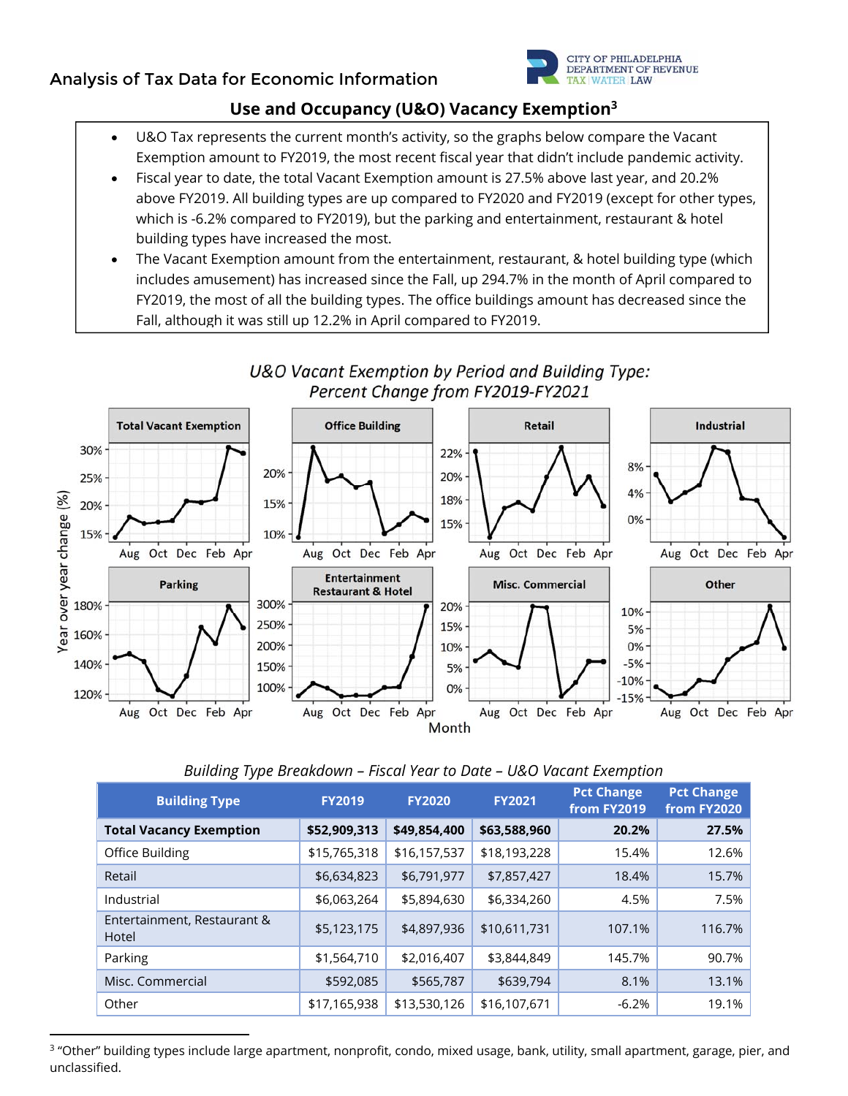

## **Use and Occupancy (U&O) Vacancy Exemption3**

- U&O Tax represents the current month's activity, so the graphs below compare the Vacant Exemption amount to FY2019, the most recent fiscal year that didn't include pandemic activity.
- Fiscal year to date, the total Vacant Exemption amount is 27.5% above last year, and 20.2% above FY2019. All building types are up compared to FY2020 and FY2019 (except for other types, which is -6.2% compared to FY2019), but the parking and entertainment, restaurant & hotel building types have increased the most.
- The Vacant Exemption amount from the entertainment, restaurant, & hotel building type (which includes amusement) has increased since the Fall, up 294.7% in the month of April compared to FY2019, the most of all the building types. The office buildings amount has decreased since the Fall, although it was still up 12.2% in April compared to FY2019.



### U&O Vacant Exemption by Period and Building Type: Percent Change from FY2019-FY2021

#### *Building Type Breakdown – Fiscal Year to Date – U&O Vacant Exemption*

| <b>Building Type</b>                 | <b>FY2020</b><br><b>FY2019</b> |              | <b>FY2021</b> | <b>Pct Change</b><br>from FY2019 | <b>Pct Change</b><br>from FY2020 |
|--------------------------------------|--------------------------------|--------------|---------------|----------------------------------|----------------------------------|
| <b>Total Vacancy Exemption</b>       | \$52,909,313                   | \$49,854,400 | \$63,588,960  | 20.2%                            | 27.5%                            |
| Office Building                      | \$15,765,318                   | \$16,157,537 | \$18,193,228  | 15.4%                            | 12.6%                            |
| Retail                               | \$6,634,823                    | \$6,791,977  | \$7,857,427   | 18.4%                            | 15.7%                            |
| Industrial                           | \$6,063,264                    | \$5,894,630  | \$6,334,260   | 4.5%                             | 7.5%                             |
| Entertainment, Restaurant &<br>Hotel | \$5,123,175                    | \$4,897,936  | \$10,611,731  | 107.1%                           | 116.7%                           |
| Parking                              | \$1,564,710                    | \$2,016,407  | \$3,844,849   | 145.7%                           | 90.7%                            |
| Misc. Commercial                     | \$592,085                      | \$565,787    | \$639,794     | 8.1%                             | 13.1%                            |
| Other                                | \$17,165,938                   | \$13,530,126 | \$16,107,671  | $-6.2%$                          | 19.1%                            |

<sup>3</sup> "Other" building types include large apartment, nonprofit, condo, mixed usage, bank, utility, small apartment, garage, pier, and unclassified.